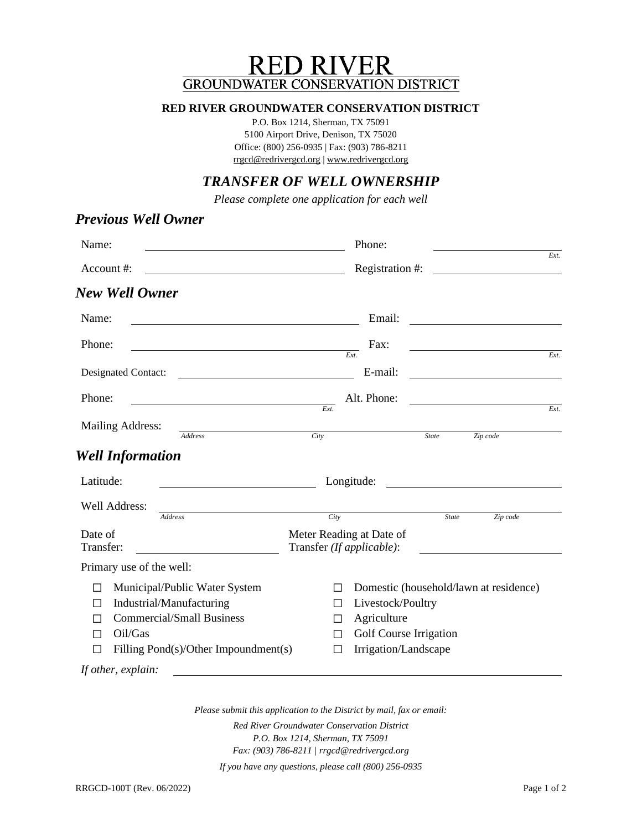# **RED RIVER GROUNDWATER CONSERVATION DISTRICT**

#### **RED RIVER GROUNDWATER CONSERVATION DISTRICT**

P.O. Box 1214, Sherman, TX 75091 5100 Airport Drive, Denison, TX 75020 Office: (800) 256-0935 | Fax: (903) 786-8211 [rrgcd@redrivergcd.org](mailto:rrgcd@redrivergcd.org) | [www.redrivergcd.org](http://www.redrivergcd.org/)

## *TRANSFER OF WELL OWNERSHIP*

*Please complete one application for each well*

## *Previous Well Owner* Name: Phone: *Ext.* Account #: Registration #: *New Well Owner* Name: Email: Phone: Fax: *Ext. Ext.* Designated Contact: <u>E-mail:</u> E-mail: Phone: Alt. Phone: *Ext. Ext.* Mailing Address: *Address City State Zip code Well Information* Latitude: Longitude: Well Address: *Address City State Zip code* Date of Transfer: Meter Reading at Date of Transfer *(If applicable)*: Primary use of the well: ☐ Municipal/Public Water System ☐ Domestic (household/lawn at residence) ☐ Industrial/Manufacturing ☐ Livestock/Poultry ☐ Commercial/Small Business ☐ Agriculture ☐ Oil/Gas ☐ Golf Course Irrigation ☐ Filling Pond(s)/Other Impoundment(s) ☐ Irrigation/Landscape *If other, explain:*

*Please submit this application to the District by mail, fax or email: Red River Groundwater Conservation District P.O. Box 1214, Sherman, TX 75091 Fax: (903) 786-8211 [| rrgcd@redrivergcd.org](mailto:ntgcd@northtexasgcd.org)*